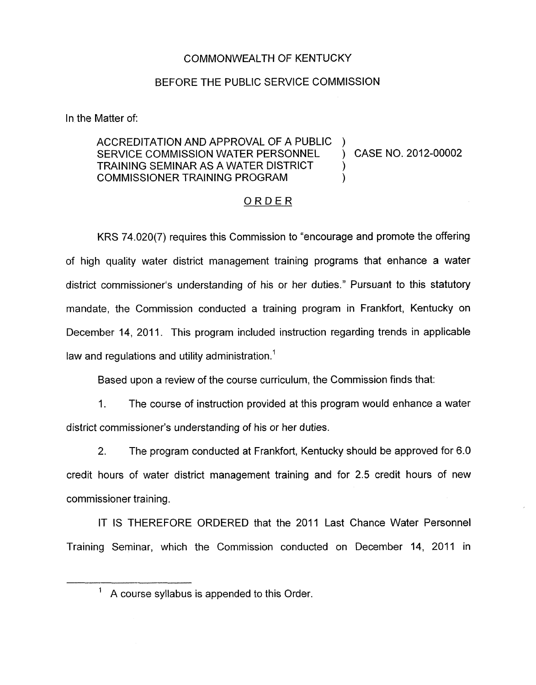## COMMONWEALTH OF KENTUCKY

## BEFORE THE PUBLIC SERVICE COMMISSION

In the Matter of:

## ACCREDITATION AND APPROVAL OF A PUBLIC ) SERVICE COMMISSION WATER PERSONNEL (2012-00002) TRAINING SEMINAR AS A WATER DISTRICT **COMMISSIONER TRAINING PROGRAM** )

## ORDER

KRS 74.020(7) requires this Commission to "encourage and promote the offering of high quality water district management training programs that enhance a water district commissioner's understanding of his or her duties." Pursuant to this statutory mandate, the Commission conducted a training program in Frankfort, Kentucky on December 14, 2011. This program included instruction regarding trends in applicable law and regulations and utility administration.<sup>1</sup>

Based upon a review of the course curriculum, the Commission finds that:

1. The course of instruction provided at this program would enhance a water district commissioner's understanding of his or her duties.

2. The program conducted at Frankfort, Kentucky should be approved for 6.0 credit hours of water district management training and for 2.5 credit hours of new commissioner training.

IT IS THEREFORE ORDERED that the 2011 Last Chance Water Personnel Training Seminar, which the Commission conducted on December 14, 2011 in

 $<sup>1</sup>$  A course syllabus is appended to this Order.</sup>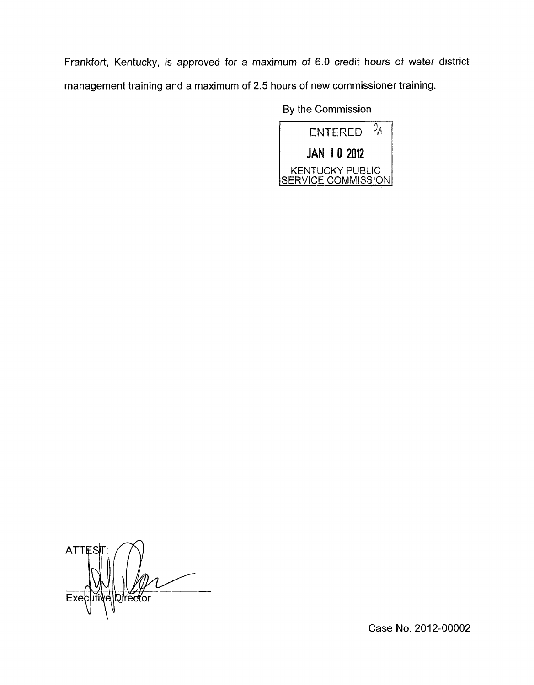Frankfort, Kentucky, is approved for a maximum of 6.0 credit hours of water district management training and a maximum of 2.5 hours of new commissioner training.

By the Commission



**ATT** Director  $\mathcal{L}$ 

Case No. 2012-00002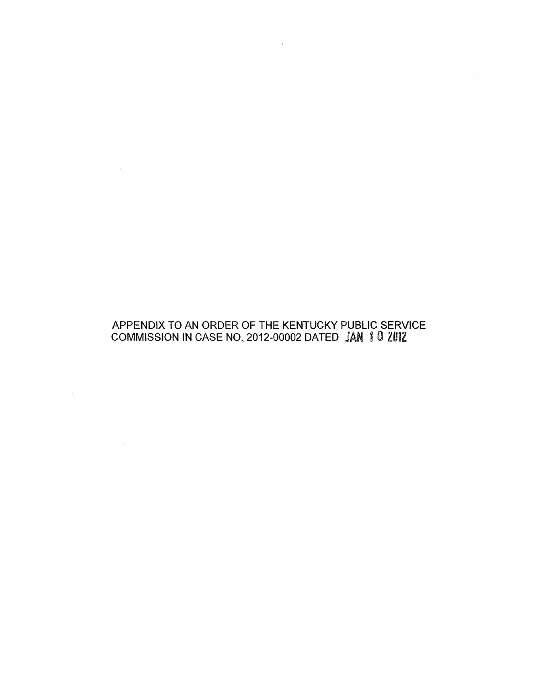# APPENDIX TO AN ORDER OF THE KENTUCKY PUBLIC SERVICE COMMISSION IN CASE NO.. 2012-00002 DATED

 $\label{eq:2.1} \mathcal{L}^{\text{max}}_{\text{max}}(\mathbf{r},\mathbf{r}) = \mathcal{L}^{\text{max}}_{\text{max}}(\mathbf{r},\mathbf{r})$ 

 $\label{eq:2.1} \frac{1}{\sqrt{2\pi}}\int_{\mathbb{R}^3}\frac{1}{\sqrt{2\pi}}\int_{\mathbb{R}^3}\frac{1}{\sqrt{2\pi}}\int_{\mathbb{R}^3}\frac{1}{\sqrt{2\pi}}\int_{\mathbb{R}^3}\frac{1}{\sqrt{2\pi}}\int_{\mathbb{R}^3}\frac{1}{\sqrt{2\pi}}\int_{\mathbb{R}^3}\frac{1}{\sqrt{2\pi}}\int_{\mathbb{R}^3}\frac{1}{\sqrt{2\pi}}\int_{\mathbb{R}^3}\frac{1}{\sqrt{2\pi}}\int_{\mathbb{R}^3}\frac{1$ 

 $\mathcal{A}^{\mathrm{c}}$  and